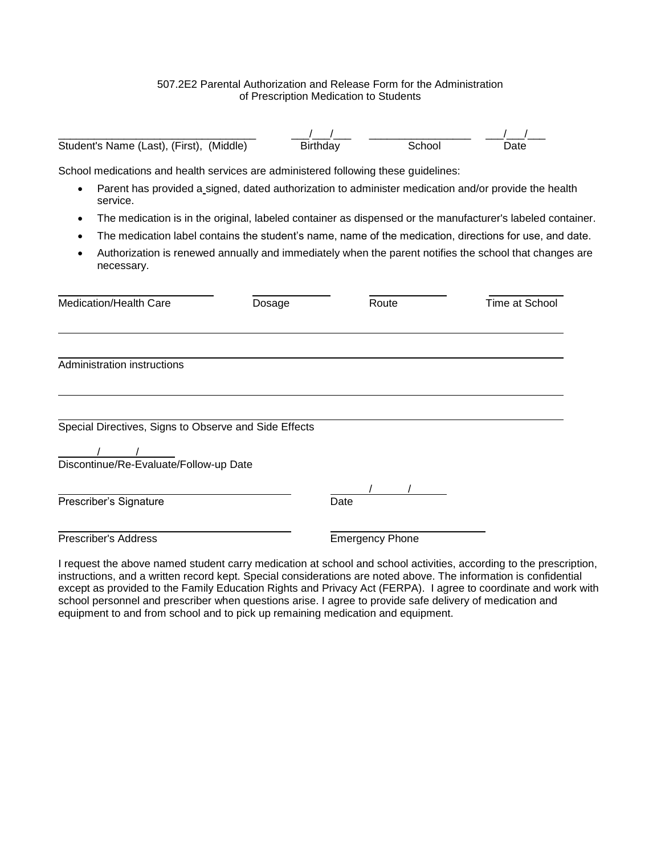## 507.2E2 Parental Authorization and Release Form for the Administration of Prescription Medication to Students

| Student's Name (Last), (First), (Middle)                                                                         | <b>Birthday</b> | School                                            | Date                                                                                                       |
|------------------------------------------------------------------------------------------------------------------|-----------------|---------------------------------------------------|------------------------------------------------------------------------------------------------------------|
| School medications and health services are administered following these guidelines:                              |                 |                                                   |                                                                                                            |
| Parent has provided a signed, dated authorization to administer medication and/or provide the health<br>service. |                 |                                                   |                                                                                                            |
|                                                                                                                  |                 |                                                   | The medication is in the original, labeled container as dispensed or the manufacturer's labeled container. |
|                                                                                                                  |                 |                                                   | The medication label contains the student's name, name of the medication, directions for use, and date.    |
| necessary.                                                                                                       |                 |                                                   | Authorization is renewed annually and immediately when the parent notifies the school that changes are     |
| Medication/Health Care                                                                                           | Dosage          | Route                                             | <b>Time at School</b>                                                                                      |
| Administration instructions                                                                                      |                 |                                                   |                                                                                                            |
| Special Directives, Signs to Observe and Side Effects                                                            |                 |                                                   |                                                                                                            |
| Discontinue/Re-Evaluate/Follow-up Date                                                                           |                 |                                                   |                                                                                                            |
| Prescriber's Signature                                                                                           |                 | Date                                              |                                                                                                            |
| <b>Prescriber's Address</b>                                                                                      |                 | <b>Emergency Phone</b>                            |                                                                                                            |
| is such that the contract and attribute and contraction of                                                       |                 | aalaa lama aalaa laatii itica lagaassiin n ta tha |                                                                                                            |

I request the above named student carry medication at school and school activities, according to the prescription, instructions, and a written record kept. Special considerations are noted above. The information is confidential except as provided to the Family Education Rights and Privacy Act (FERPA). I agree to coordinate and work with school personnel and prescriber when questions arise. I agree to provide safe delivery of medication and equipment to and from school and to pick up remaining medication and equipment.